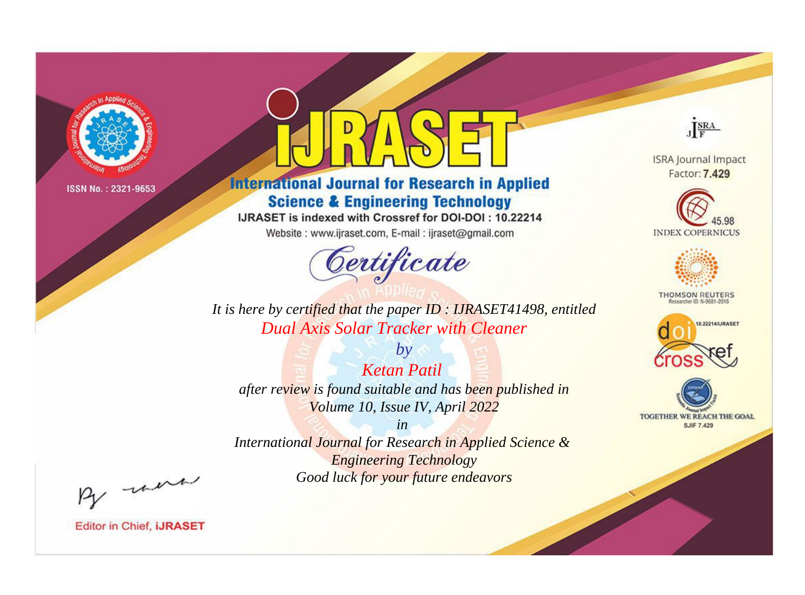

# **International Journal for Research in Applied Science & Engineering Technology**

IJRASET is indexed with Crossref for DOI-DOI: 10.22214

Website: www.ijraset.com, E-mail: ijraset@gmail.com



**ISRA Journal Impact** Factor: 7.429

JERA

**INDEX COPERNICUS** 



**THOMSON REUTERS** 



TOGETHER WE REACH THE GOAL **SJIF 7.429** 

It is here by certified that the paper ID: IJRASET41498, entitled **Dual Axis Solar Tracker with Cleaner** 

 $by$ **Ketan Patil** after review is found suitable and has been published in Volume 10, Issue IV, April 2022

 $in$ International Journal for Research in Applied Science & **Engineering Technology** Good luck for your future endeavors

By morn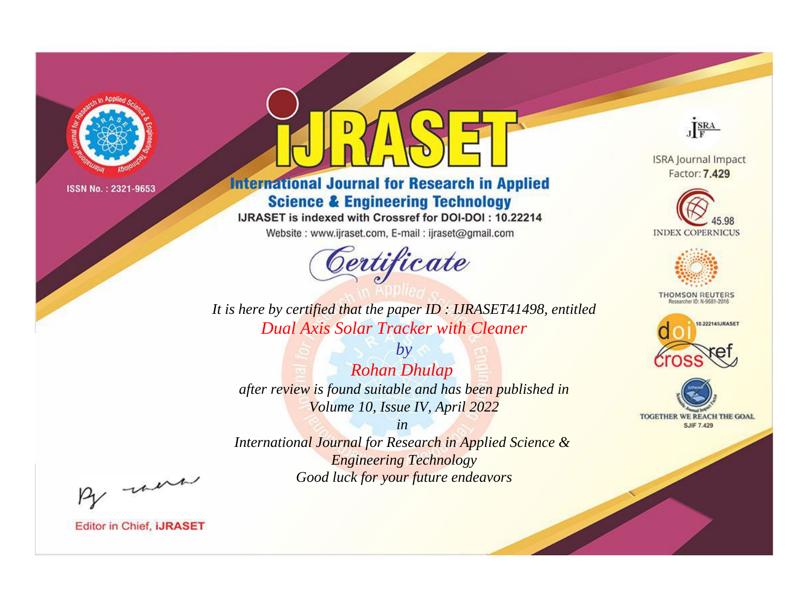

# **International Journal for Research in Applied Science & Engineering Technology**

IJRASET is indexed with Crossref for DOI-DOI: 10.22214

Website: www.ijraset.com, E-mail: ijraset@gmail.com



**ISRA Journal Impact** Factor: 7.429

JERA

**INDEX COPERNICUS** 



**THOMSON REUTERS** 



TOGETHER WE REACH THE GOAL **SJIF 7.429** 

It is here by certified that the paper ID: IJRASET41498, entitled **Dual Axis Solar Tracker with Cleaner** 

 $by$ **Rohan Dhulap** after review is found suitable and has been published in Volume 10, Issue IV, April 2022

 $in$ International Journal for Research in Applied Science & **Engineering Technology** Good luck for your future endeavors

By morn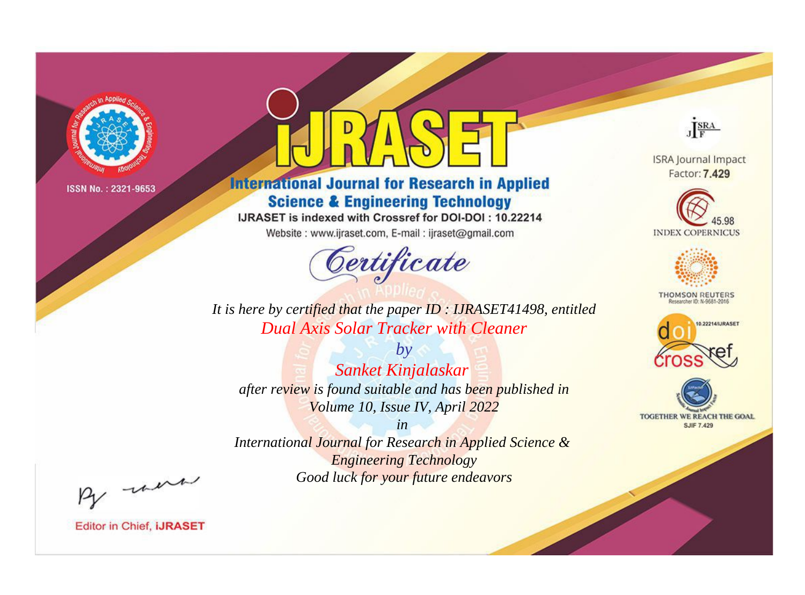

# **International Journal for Research in Applied Science & Engineering Technology**

IJRASET is indexed with Crossref for DOI-DOI: 10.22214

Website: www.ijraset.com, E-mail: ijraset@gmail.com



JERA

**ISRA Journal Impact** Factor: 7.429





**THOMSON REUTERS** 



TOGETHER WE REACH THE GOAL **SJIF 7.429** 

It is here by certified that the paper ID: IJRASET41498, entitled **Dual Axis Solar Tracker with Cleaner** 

 $by$ Sanket Kinjalaskar after review is found suitable and has been published in Volume 10, Issue IV, April 2022

 $in$ International Journal for Research in Applied Science & **Engineering Technology** Good luck for your future endeavors

By morn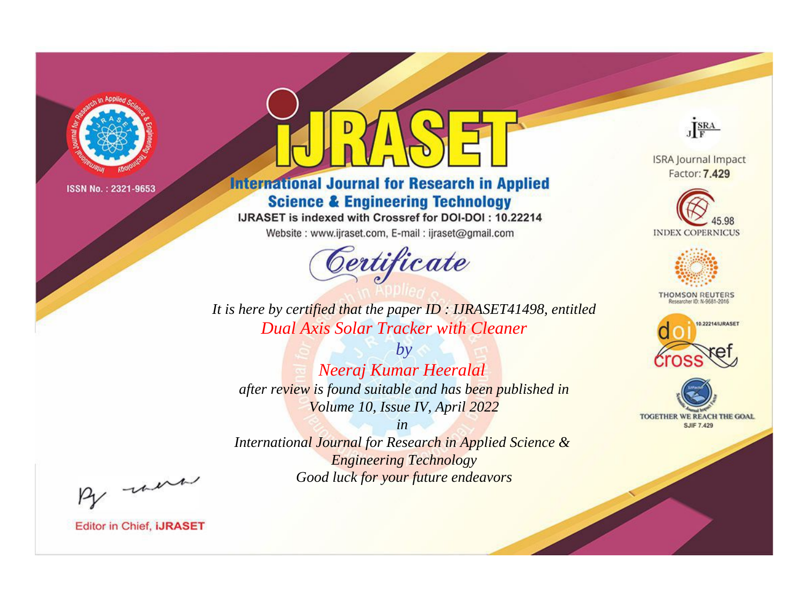

# **International Journal for Research in Applied Science & Engineering Technology**

IJRASET is indexed with Crossref for DOI-DOI: 10.22214

Website: www.ijraset.com, E-mail: ijraset@gmail.com



JERA

**ISRA Journal Impact** Factor: 7.429





**THOMSON REUTERS** 



TOGETHER WE REACH THE GOAL **SJIF 7.429** 

It is here by certified that the paper ID: IJRASET41498, entitled **Dual Axis Solar Tracker with Cleaner** 

 $by$ Neeraj Kumar Heeralal after review is found suitable and has been published in Volume 10, Issue IV, April 2022

 $in$ International Journal for Research in Applied Science & **Engineering Technology** Good luck for your future endeavors

By morn